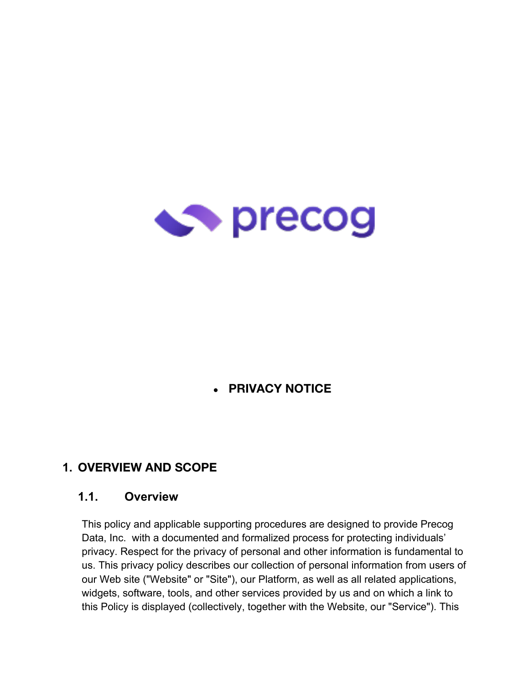

#### ● **PRIVACY NOTICE**

#### **1. OVERVIEW AND SCOPE**

#### **1.1. Overview**

This policy and applicable supporting procedures are designed to provide Precog Data, Inc. with a documented and formalized process for protecting individuals' privacy. Respect for the privacy of personal and other information is fundamental to us. This privacy policy describes our collection of personal information from users of our Web site ("Website" or "Site"), our Platform, as well as all related applications, widgets, software, tools, and other services provided by us and on which a link to this Policy is displayed (collectively, together with the Website, our "Service"). This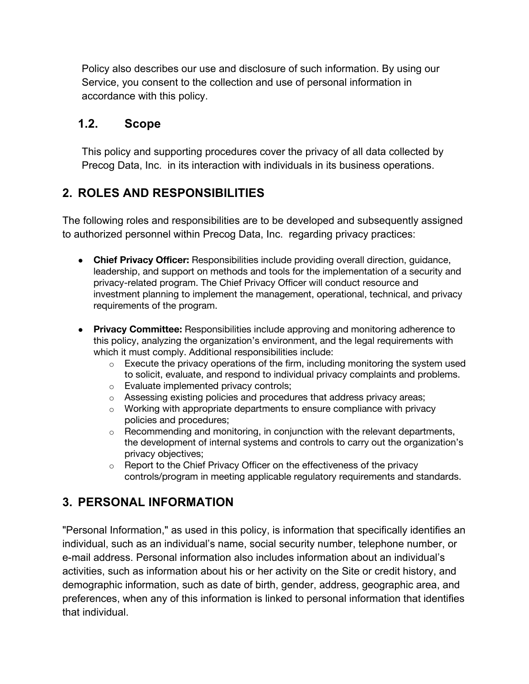Policy also describes our use and disclosure of such information. By using our Service, you consent to the collection and use of personal information in accordance with this policy.

#### **1.2. Scope**

This policy and supporting procedures cover the privacy of all data collected by Precog Data, Inc. in its interaction with individuals in its business operations.

#### **2. ROLES AND RESPONSIBILITIES**

The following roles and responsibilities are to be developed and subsequently assigned to authorized personnel within Precog Data, Inc. regarding privacy practices:

- **Chief Privacy Officer:** Responsibilities include providing overall direction, guidance, leadership, and support on methods and tools for the implementation of a security and privacy-related program. The Chief Privacy Officer will conduct resource and investment planning to implement the management, operational, technical, and privacy requirements of the program.
- **Privacy Committee:** Responsibilities include approving and monitoring adherence to this policy, analyzing the organization's environment, and the legal requirements with which it must comply. Additional responsibilities include:
	- o Execute the privacy operations of the firm, including monitoring the system used to solicit, evaluate, and respond to individual privacy complaints and problems.
	- o Evaluate implemented privacy controls;
	- o Assessing existing policies and procedures that address privacy areas;
	- o Working with appropriate departments to ensure compliance with privacy policies and procedures;
	- o Recommending and monitoring, in conjunction with the relevant departments, the development of internal systems and controls to carry out the organization's privacy objectives;
	- o Report to the Chief Privacy Officer on the effectiveness of the privacy controls/program in meeting applicable regulatory requirements and standards.

#### **3. PERSONAL INFORMATION**

"Personal Information," as used in this policy, is information that specifically identifies an individual, such as an individual's name, social security number, telephone number, or e-mail address. Personal information also includes information about an individual's activities, such as information about his or her activity on the Site or credit history, and demographic information, such as date of birth, gender, address, geographic area, and preferences, when any of this information is linked to personal information that identifies that individual.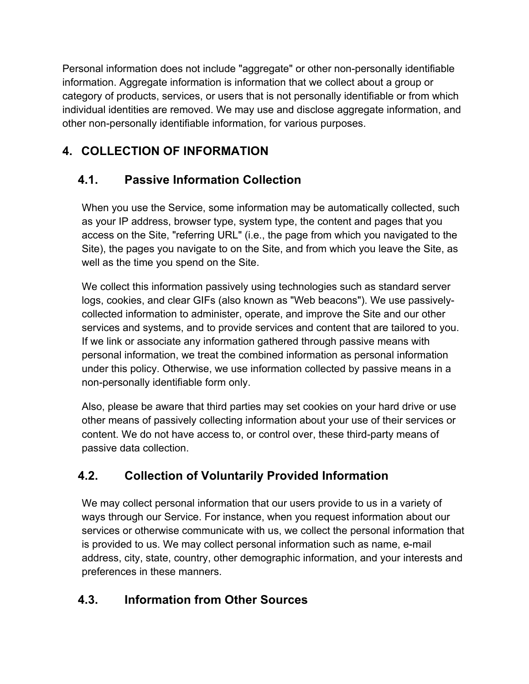Personal information does not include "aggregate" or other non-personally identifiable information. Aggregate information is information that we collect about a group or category of products, services, or users that is not personally identifiable or from which individual identities are removed. We may use and disclose aggregate information, and other non-personally identifiable information, for various purposes.

## **4. COLLECTION OF INFORMATION**

# **4.1. Passive Information Collection**

When you use the Service, some information may be automatically collected, such as your IP address, browser type, system type, the content and pages that you access on the Site, "referring URL" (i.e., the page from which you navigated to the Site), the pages you navigate to on the Site, and from which you leave the Site, as well as the time you spend on the Site.

We collect this information passively using technologies such as standard server logs, cookies, and clear GIFs (also known as "Web beacons"). We use passivelycollected information to administer, operate, and improve the Site and our other services and systems, and to provide services and content that are tailored to you. If we link or associate any information gathered through passive means with personal information, we treat the combined information as personal information under this policy. Otherwise, we use information collected by passive means in a non-personally identifiable form only.

Also, please be aware that third parties may set cookies on your hard drive or use other means of passively collecting information about your use of their services or content. We do not have access to, or control over, these third-party means of passive data collection.

## **4.2. Collection of Voluntarily Provided Information**

We may collect personal information that our users provide to us in a variety of ways through our Service. For instance, when you request information about our services or otherwise communicate with us, we collect the personal information that is provided to us. We may collect personal information such as name, e-mail address, city, state, country, other demographic information, and your interests and preferences in these manners.

## **4.3. Information from Other Sources**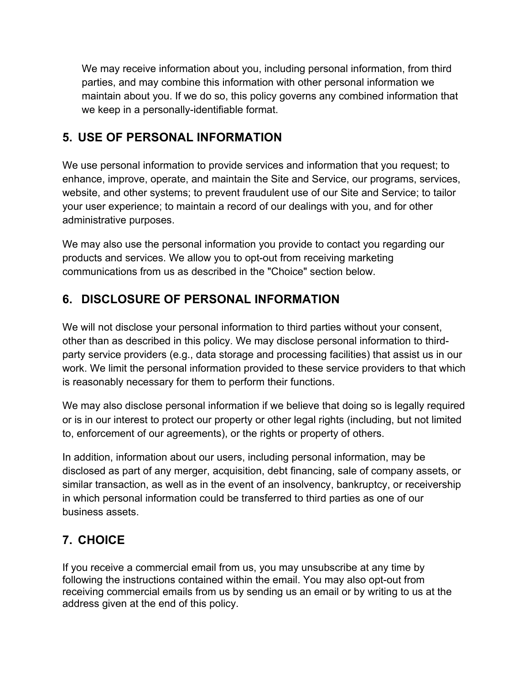We may receive information about you, including personal information, from third parties, and may combine this information with other personal information we maintain about you. If we do so, this policy governs any combined information that we keep in a personally-identifiable format.

#### **5. USE OF PERSONAL INFORMATION**

We use personal information to provide services and information that you request; to enhance, improve, operate, and maintain the Site and Service, our programs, services, website, and other systems; to prevent fraudulent use of our Site and Service; to tailor your user experience; to maintain a record of our dealings with you, and for other administrative purposes.

We may also use the personal information you provide to contact you regarding our products and services. We allow you to opt-out from receiving marketing communications from us as described in the "Choice" section below.

## **6. DISCLOSURE OF PERSONAL INFORMATION**

We will not disclose your personal information to third parties without your consent, other than as described in this policy. We may disclose personal information to thirdparty service providers (e.g., data storage and processing facilities) that assist us in our work. We limit the personal information provided to these service providers to that which is reasonably necessary for them to perform their functions.

We may also disclose personal information if we believe that doing so is legally required or is in our interest to protect our property or other legal rights (including, but not limited to, enforcement of our agreements), or the rights or property of others.

In addition, information about our users, including personal information, may be disclosed as part of any merger, acquisition, debt financing, sale of company assets, or similar transaction, as well as in the event of an insolvency, bankruptcy, or receivership in which personal information could be transferred to third parties as one of our business assets.

## **7. CHOICE**

If you receive a commercial email from us, you may unsubscribe at any time by following the instructions contained within the email. You may also opt-out from receiving commercial emails from us by sending us an email or by writing to us at the address given at the end of this policy.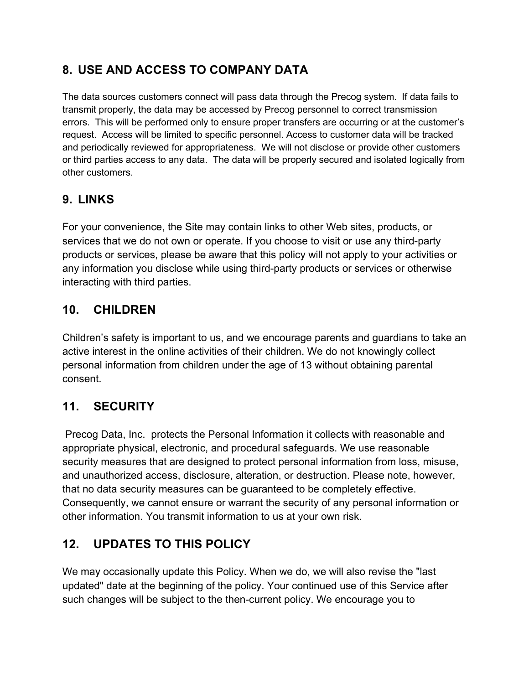## **8. USE AND ACCESS TO COMPANY DATA**

The data sources customers connect will pass data through the Precog system. If data fails to transmit properly, the data may be accessed by Precog personnel to correct transmission errors. This will be performed only to ensure proper transfers are occurring or at the customer's request. Access will be limited to specific personnel. Access to customer data will be tracked and periodically reviewed for appropriateness. We will not disclose or provide other customers or third parties access to any data. The data will be properly secured and isolated logically from other customers.

#### **9. LINKS**

For your convenience, the Site may contain links to other Web sites, products, or services that we do not own or operate. If you choose to visit or use any third-party products or services, please be aware that this policy will not apply to your activities or any information you disclose while using third-party products or services or otherwise interacting with third parties.

## **10. CHILDREN**

Children's safety is important to us, and we encourage parents and guardians to take an active interest in the online activities of their children. We do not knowingly collect personal information from children under the age of 13 without obtaining parental consent.

#### **11. SECURITY**

Precog Data, Inc. protects the Personal Information it collects with reasonable and appropriate physical, electronic, and procedural safeguards. We use reasonable security measures that are designed to protect personal information from loss, misuse, and unauthorized access, disclosure, alteration, or destruction. Please note, however, that no data security measures can be guaranteed to be completely effective. Consequently, we cannot ensure or warrant the security of any personal information or other information. You transmit information to us at your own risk.

## **12. UPDATES TO THIS POLICY**

We may occasionally update this Policy. When we do, we will also revise the "last updated" date at the beginning of the policy. Your continued use of this Service after such changes will be subject to the then-current policy. We encourage you to